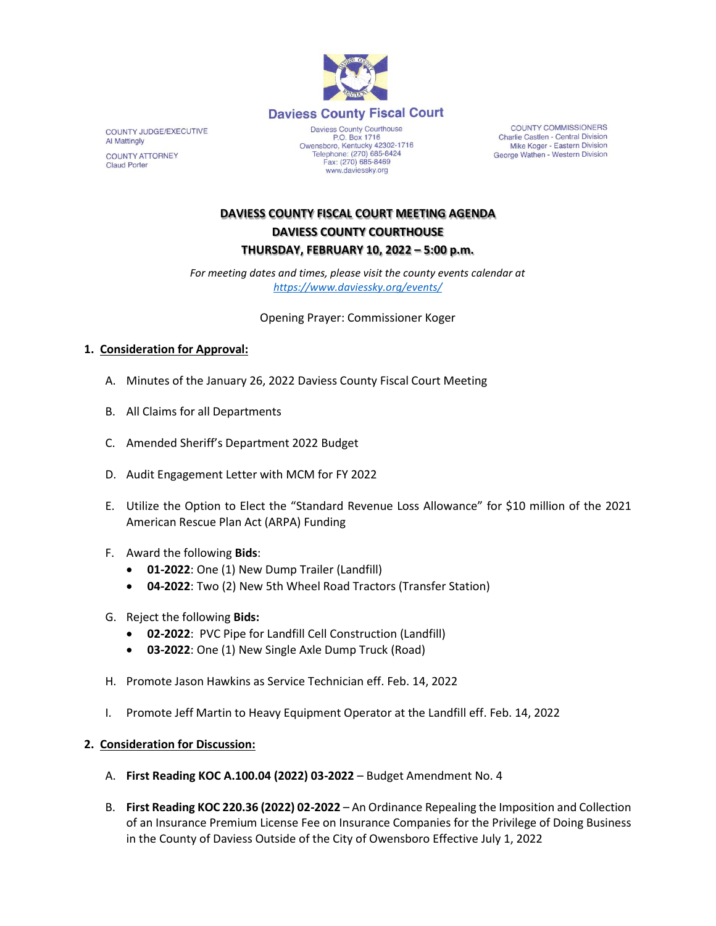

**COUNTY JUDGE/EXECUTIVE** Al Mattingly **COUNTY ATTORNEY Claud Porter** 

Daviess County Courthouse P.O. Box 1716<br>Owensboro, Kentucky 42302-1716<br>Telephone: (270) 685-8424 Fax: (270) 685-8469 www.daviessky.org

**COUNTY COMMISSIONERS** Charlie Castlen - Central Division Mike Koger - Eastern Division George Wathen - Western Division

## **DAVIESS COUNTY FISCAL COURT MEETING AGENDA DAVIESS COUNTY COURTHOUSE THURSDAY, FEBRUARY 10, 2022 – 5:00 p.m.**

*For meeting dates and times, please visit the county events calendar at <https://www.daviessky.org/events/>*

Opening Prayer: Commissioner Koger

## **1. Consideration for Approval:**

- A. Minutes of the January 26, 2022 Daviess County Fiscal Court Meeting
- B. All Claims for all Departments
- C. Amended Sheriff's Department 2022 Budget
- D. Audit Engagement Letter with MCM for FY 2022
- E. Utilize the Option to Elect the "Standard Revenue Loss Allowance" for \$10 million of the 2021 American Rescue Plan Act (ARPA) Funding
- F. Award the following **Bids**:
	- **01-2022**: One (1) New Dump Trailer (Landfill)
	- **04-2022**: Two (2) New 5th Wheel Road Tractors (Transfer Station)
- G. Reject the following **Bids:**
	- **02-2022**: PVC Pipe for Landfill Cell Construction (Landfill)
	- **03-2022**: One (1) New Single Axle Dump Truck (Road)
- H. Promote Jason Hawkins as Service Technician eff. Feb. 14, 2022
- I. Promote Jeff Martin to Heavy Equipment Operator at the Landfill eff. Feb. 14, 2022

## **2. Consideration for Discussion:**

- A. **First Reading KOC A.100.04 (2022) 03-2022** Budget Amendment No. 4
- B. **First Reading KOC 220.36 (2022) 02-2022**  An Ordinance Repealing the Imposition and Collection of an Insurance Premium License Fee on Insurance Companies for the Privilege of Doing Business in the County of Daviess Outside of the City of Owensboro Effective July 1, 2022